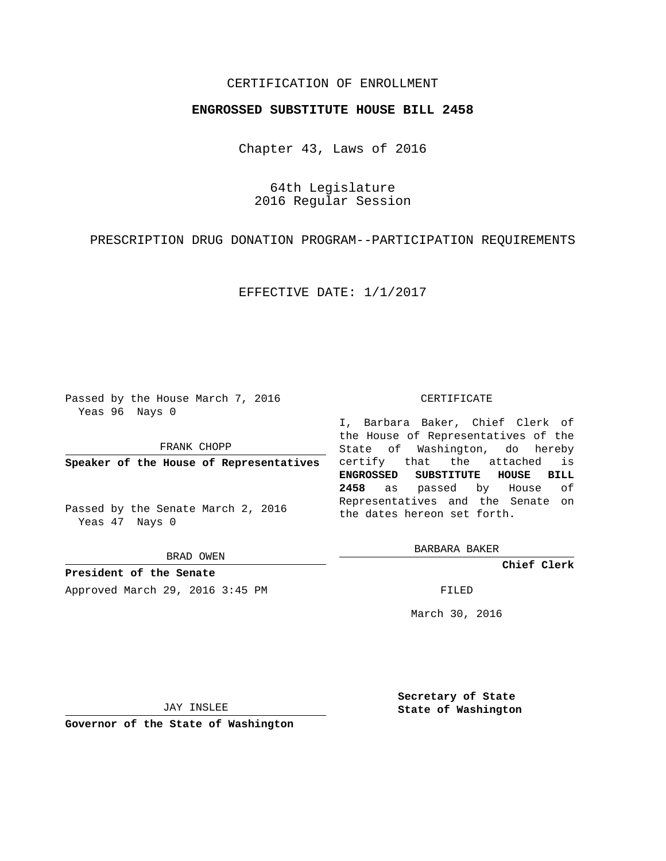## CERTIFICATION OF ENROLLMENT

## **ENGROSSED SUBSTITUTE HOUSE BILL 2458**

Chapter 43, Laws of 2016

64th Legislature 2016 Regular Session

PRESCRIPTION DRUG DONATION PROGRAM--PARTICIPATION REQUIREMENTS

EFFECTIVE DATE: 1/1/2017

Passed by the House March 7, 2016 Yeas 96 Nays 0

FRANK CHOPP

**Speaker of the House of Representatives**

Passed by the Senate March 2, 2016 Yeas 47 Nays 0

BRAD OWEN

**President of the Senate** Approved March 29, 2016 3:45 PM FILED

#### CERTIFICATE

I, Barbara Baker, Chief Clerk of the House of Representatives of the State of Washington, do hereby certify that the attached is **ENGROSSED SUBSTITUTE HOUSE BILL 2458** as passed by House of Representatives and the Senate on the dates hereon set forth.

BARBARA BAKER

**Chief Clerk**

March 30, 2016

JAY INSLEE

**Governor of the State of Washington**

**Secretary of State State of Washington**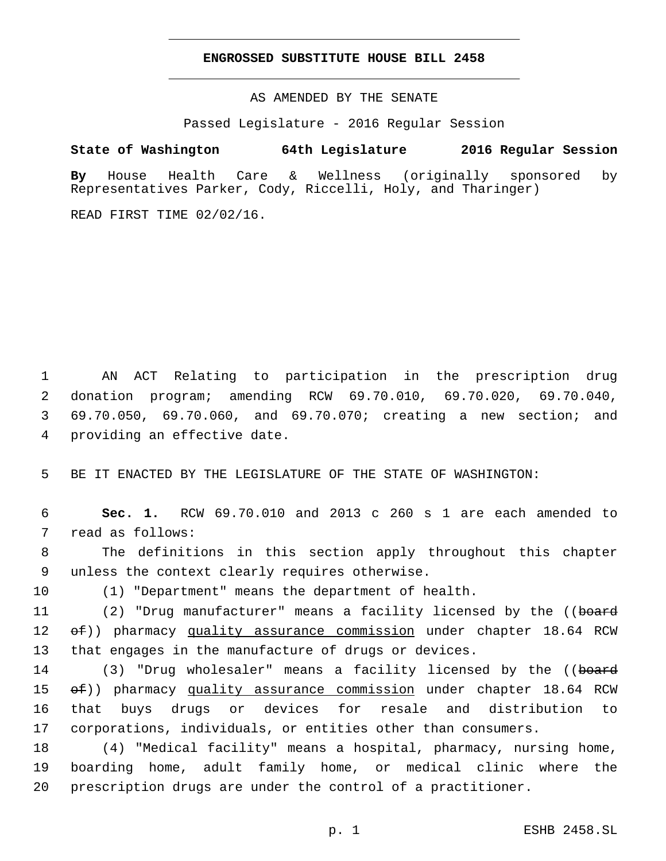### **ENGROSSED SUBSTITUTE HOUSE BILL 2458**

AS AMENDED BY THE SENATE

Passed Legislature - 2016 Regular Session

# **State of Washington 64th Legislature 2016 Regular Session**

**By** House Health Care & Wellness (originally sponsored by Representatives Parker, Cody, Riccelli, Holy, and Tharinger)

READ FIRST TIME 02/02/16.

 AN ACT Relating to participation in the prescription drug donation program; amending RCW 69.70.010, 69.70.020, 69.70.040, 69.70.050, 69.70.060, and 69.70.070; creating a new section; and 4 providing an effective date.

5 BE IT ENACTED BY THE LEGISLATURE OF THE STATE OF WASHINGTON:

6 **Sec. 1.** RCW 69.70.010 and 2013 c 260 s 1 are each amended to 7 read as follows:

8 The definitions in this section apply throughout this chapter 9 unless the context clearly requires otherwise.

10 (1) "Department" means the department of health.

11 (2) "Drug manufacturer" means a facility licensed by the ((board 12  $\leftrightarrow$  (b) pharmacy quality assurance commission under chapter 18.64 RCW 13 that engages in the manufacture of drugs or devices.

14 (3) "Drug wholesaler" means a facility licensed by the ((board  $\leftrightarrow$  (b) pharmacy quality assurance commission under chapter 18.64 RCW that buys drugs or devices for resale and distribution to corporations, individuals, or entities other than consumers.

18 (4) "Medical facility" means a hospital, pharmacy, nursing home, 19 boarding home, adult family home, or medical clinic where the 20 prescription drugs are under the control of a practitioner.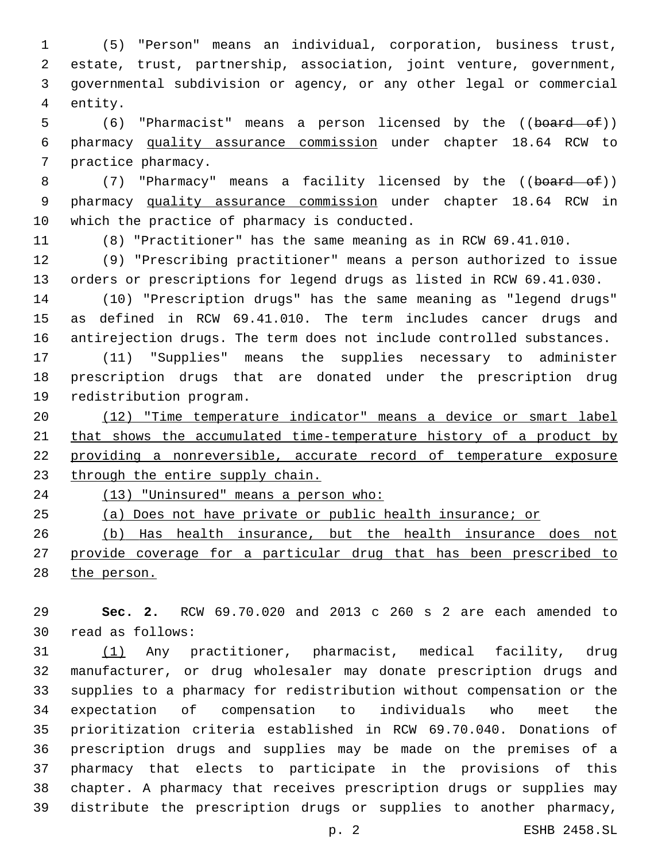(5) "Person" means an individual, corporation, business trust, estate, trust, partnership, association, joint venture, government, governmental subdivision or agency, or any other legal or commercial 4 entity.

5 (6) "Pharmacist" means a person licensed by the ((board of)) pharmacy quality assurance commission under chapter 18.64 RCW to 7 practice pharmacy.

8 (7) "Pharmacy" means a facility licensed by the ((board of)) pharmacy quality assurance commission under chapter 18.64 RCW in 10 which the practice of pharmacy is conducted.

(8) "Practitioner" has the same meaning as in RCW 69.41.010.

 (9) "Prescribing practitioner" means a person authorized to issue orders or prescriptions for legend drugs as listed in RCW 69.41.030.

 (10) "Prescription drugs" has the same meaning as "legend drugs" as defined in RCW 69.41.010. The term includes cancer drugs and antirejection drugs. The term does not include controlled substances.

 (11) "Supplies" means the supplies necessary to administer prescription drugs that are donated under the prescription drug 19 redistribution program.

 (12) "Time temperature indicator" means a device or smart label that shows the accumulated time-temperature history of a product by providing a nonreversible, accurate record of temperature exposure 23 through the entire supply chain.

(13) "Uninsured" means a person who:

(a) Does not have private or public health insurance; or

 (b) Has health insurance, but the health insurance does not 27 provide coverage for a particular drug that has been prescribed to the person.

 **Sec. 2.** RCW 69.70.020 and 2013 c 260 s 2 are each amended to read as follows:30

 (1) Any practitioner, pharmacist, medical facility, drug manufacturer, or drug wholesaler may donate prescription drugs and supplies to a pharmacy for redistribution without compensation or the expectation of compensation to individuals who meet the prioritization criteria established in RCW 69.70.040. Donations of prescription drugs and supplies may be made on the premises of a pharmacy that elects to participate in the provisions of this chapter. A pharmacy that receives prescription drugs or supplies may distribute the prescription drugs or supplies to another pharmacy,

p. 2 ESHB 2458.SL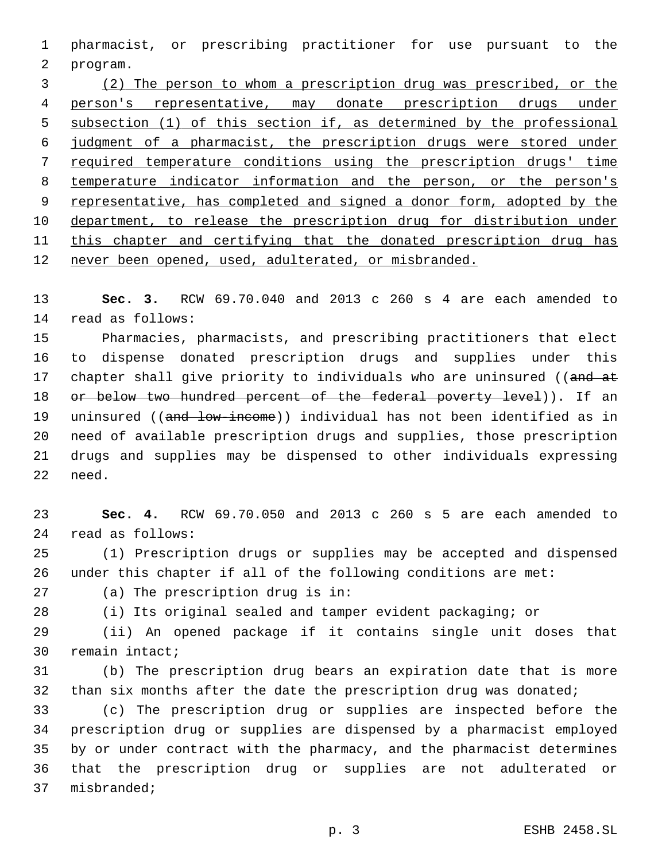pharmacist, or prescribing practitioner for use pursuant to the 2 program.

 (2) The person to whom a prescription drug was prescribed, or the person's representative, may donate prescription drugs under subsection (1) of this section if, as determined by the professional judgment of a pharmacist, the prescription drugs were stored under required temperature conditions using the prescription drugs' time temperature indicator information and the person, or the person's representative, has completed and signed a donor form, adopted by the department, to release the prescription drug for distribution under 11 this chapter and certifying that the donated prescription drug has never been opened, used, adulterated, or misbranded.

 **Sec. 3.** RCW 69.70.040 and 2013 c 260 s 4 are each amended to 14 read as follows:

 Pharmacies, pharmacists, and prescribing practitioners that elect to dispense donated prescription drugs and supplies under this 17 chapter shall give priority to individuals who are uninsured ((and at 18 or below two hundred percent of the federal poverty level)). If an 19 uninsured ((and low-income)) individual has not been identified as in need of available prescription drugs and supplies, those prescription drugs and supplies may be dispensed to other individuals expressing 22 need.

 **Sec. 4.** RCW 69.70.050 and 2013 c 260 s 5 are each amended to read as follows:24

 (1) Prescription drugs or supplies may be accepted and dispensed under this chapter if all of the following conditions are met:

27 (a) The prescription drug is in:

(i) Its original sealed and tamper evident packaging; or

 (ii) An opened package if it contains single unit doses that 30 remain intact;

 (b) The prescription drug bears an expiration date that is more 32 than six months after the date the prescription drug was donated;

 (c) The prescription drug or supplies are inspected before the prescription drug or supplies are dispensed by a pharmacist employed by or under contract with the pharmacy, and the pharmacist determines that the prescription drug or supplies are not adulterated or 37 misbranded;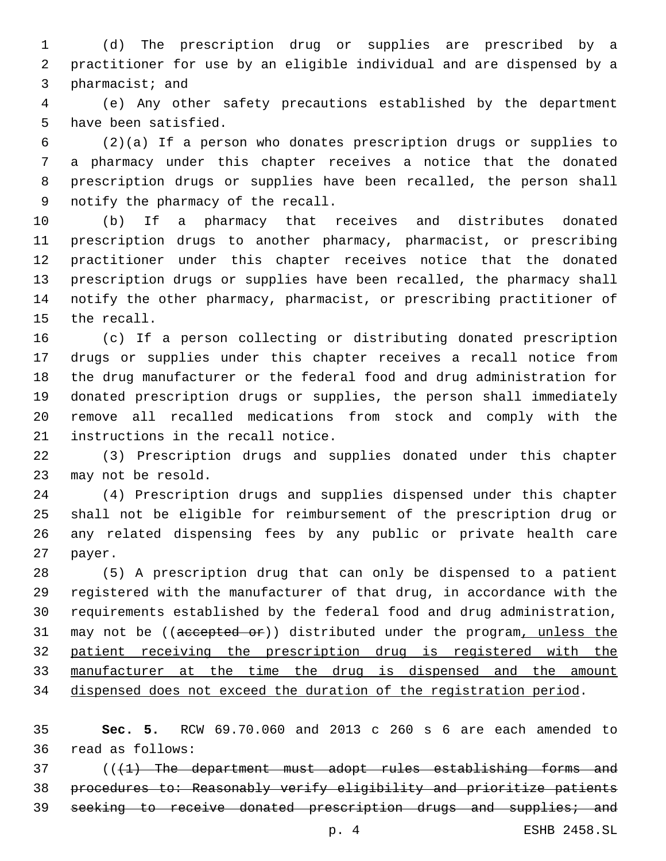(d) The prescription drug or supplies are prescribed by a practitioner for use by an eligible individual and are dispensed by a 3 pharmacist; and

 (e) Any other safety precautions established by the department 5 have been satisfied.

 (2)(a) If a person who donates prescription drugs or supplies to a pharmacy under this chapter receives a notice that the donated prescription drugs or supplies have been recalled, the person shall 9 notify the pharmacy of the recall.

 (b) If a pharmacy that receives and distributes donated prescription drugs to another pharmacy, pharmacist, or prescribing practitioner under this chapter receives notice that the donated prescription drugs or supplies have been recalled, the pharmacy shall notify the other pharmacy, pharmacist, or prescribing practitioner of 15 the recall.

 (c) If a person collecting or distributing donated prescription drugs or supplies under this chapter receives a recall notice from the drug manufacturer or the federal food and drug administration for donated prescription drugs or supplies, the person shall immediately remove all recalled medications from stock and comply with the 21 instructions in the recall notice.

 (3) Prescription drugs and supplies donated under this chapter 23 may not be resold.

 (4) Prescription drugs and supplies dispensed under this chapter shall not be eligible for reimbursement of the prescription drug or any related dispensing fees by any public or private health care 27 payer.

 (5) A prescription drug that can only be dispensed to a patient registered with the manufacturer of that drug, in accordance with the requirements established by the federal food and drug administration, 31 may not be ((accepted or)) distributed under the program, unless the patient receiving the prescription drug is registered with the manufacturer at the time the drug is dispensed and the amount dispensed does not exceed the duration of the registration period.

 **Sec. 5.** RCW 69.70.060 and 2013 c 260 s 6 are each amended to 36 read as follows:

37 (((1) The department must adopt rules establishing forms and procedures to: Reasonably verify eligibility and prioritize patients seeking to receive donated prescription drugs and supplies; and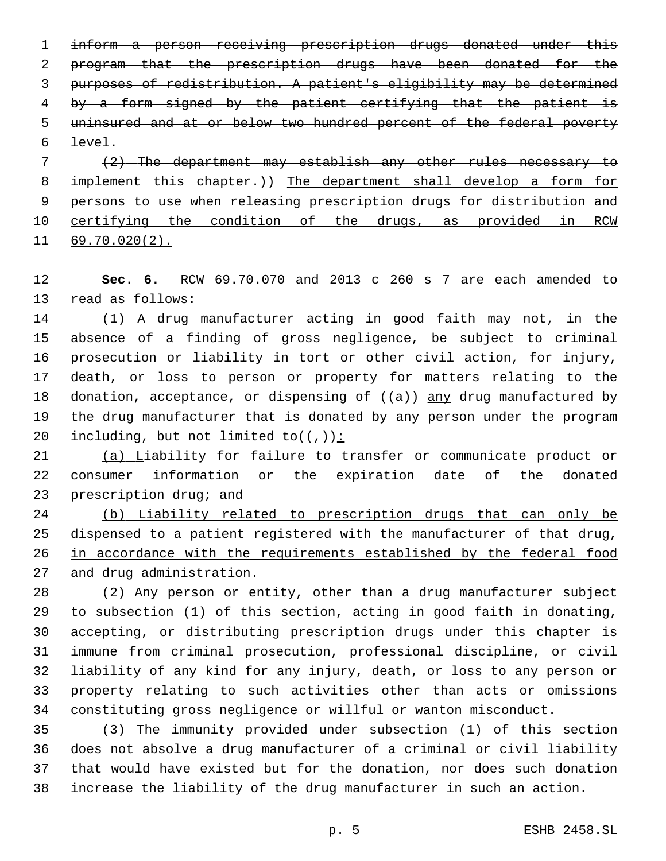inform a person receiving prescription drugs donated under this program that the prescription drugs have been donated for the purposes of redistribution. A patient's eligibility may be determined 4 by a form signed by the patient certifying that the patient is uninsured and at or below two hundred percent of the federal poverty  $level.$ 

 (2) The department may establish any other rules necessary to implement this chapter.)) The department shall develop a form for persons to use when releasing prescription drugs for distribution and certifying the condition of the drugs, as provided in RCW 69.70.020(2).

 **Sec. 6.** RCW 69.70.070 and 2013 c 260 s 7 are each amended to 13 read as follows:

 (1) A drug manufacturer acting in good faith may not, in the absence of a finding of gross negligence, be subject to criminal prosecution or liability in tort or other civil action, for injury, death, or loss to person or property for matters relating to the 18 donation, acceptance, or dispensing of  $((a))$  any drug manufactured by the drug manufacturer that is donated by any person under the program 20 including, but not limited to( $(\tau)$ ):

 (a) Liability for failure to transfer or communicate product or consumer information or the expiration date of the donated 23 prescription drug; and

 (b) Liability related to prescription drugs that can only be dispensed to a patient registered with the manufacturer of that drug, in accordance with the requirements established by the federal food 27 and drug administration.

 (2) Any person or entity, other than a drug manufacturer subject to subsection (1) of this section, acting in good faith in donating, accepting, or distributing prescription drugs under this chapter is immune from criminal prosecution, professional discipline, or civil liability of any kind for any injury, death, or loss to any person or property relating to such activities other than acts or omissions constituting gross negligence or willful or wanton misconduct.

 (3) The immunity provided under subsection (1) of this section does not absolve a drug manufacturer of a criminal or civil liability that would have existed but for the donation, nor does such donation increase the liability of the drug manufacturer in such an action.